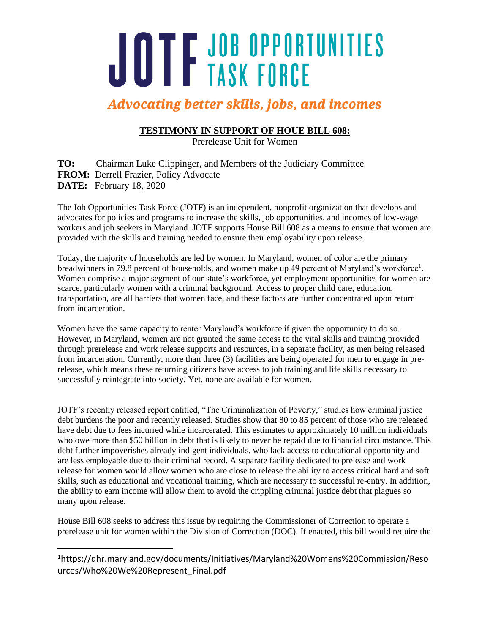# JOTF JOB OPPORTUNITIES

## **Advocating better skills, jobs, and incomes**

### **TESTIMONY IN SUPPORT OF HOUE BILL 608:**

Prerelease Unit for Women

**TO:** Chairman Luke Clippinger, and Members of the Judiciary Committee **FROM:** Derrell Frazier, Policy Advocate **DATE:** February 18, 2020

The Job Opportunities Task Force (JOTF) is an independent, nonprofit organization that develops and advocates for policies and programs to increase the skills, job opportunities, and incomes of low-wage workers and job seekers in Maryland. JOTF supports House Bill 608 as a means to ensure that women are provided with the skills and training needed to ensure their employability upon release.

Today, the majority of households are led by women. In Maryland, women of color are the primary breadwinners in 79.8 percent of households, and women make up 49 percent of Maryland's workforce<sup>1</sup>. Women comprise a major segment of our state's workforce, yet employment opportunities for women are scarce, particularly women with a criminal background. Access to proper child care, education, transportation, are all barriers that women face, and these factors are further concentrated upon return from incarceration.

Women have the same capacity to renter Maryland's workforce if given the opportunity to do so. However, in Maryland, women are not granted the same access to the vital skills and training provided through prerelease and work release supports and resources, in a separate facility, as men being released from incarceration. Currently, more than three (3) facilities are being operated for men to engage in prerelease, which means these returning citizens have access to job training and life skills necessary to successfully reintegrate into society. Yet, none are available for women.

JOTF's recently released report entitled, "The Criminalization of Poverty," studies how criminal justice debt burdens the poor and recently released. Studies show that 80 to 85 percent of those who are released have debt due to fees incurred while incarcerated. This estimates to approximately 10 million individuals who owe more than \$50 billion in debt that is likely to never be repaid due to financial circumstance. This debt further impoverishes already indigent individuals, who lack access to educational opportunity and are less employable due to their criminal record. A separate facility dedicated to prelease and work release for women would allow women who are close to release the ability to access critical hard and soft skills, such as educational and vocational training, which are necessary to successful re-entry. In addition, the ability to earn income will allow them to avoid the crippling criminal justice debt that plagues so many upon release.

House Bill 608 seeks to address this issue by requiring the Commissioner of Correction to operate a prerelease unit for women within the Division of Correction (DOC). If enacted, this bill would require the

 $\overline{a}$ 

<sup>1</sup>https://dhr.maryland.gov/documents/Initiatives/Maryland%20Womens%20Commission/Reso urces/Who%20We%20Represent\_Final.pdf